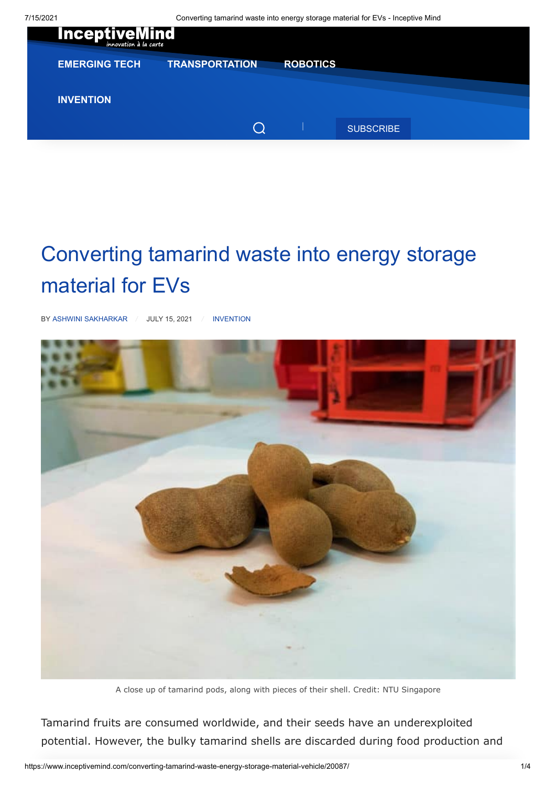

## Converting tamarind waste into energy storage material for EVs

BY [ASHWINI SAKHARKAR](https://www.inceptivemind.com/author/ashwini/) / JULY 15, 2021 / [INVENTION](https://www.inceptivemind.com/category/invention/)



A close up of tamarind pods, along with pieces of their shell. Credit: NTU Singapore

Tamarind fruits are consumed worldwide, and their seeds have an underexploited potential. However, the bulky tamarind shells are discarded during food production and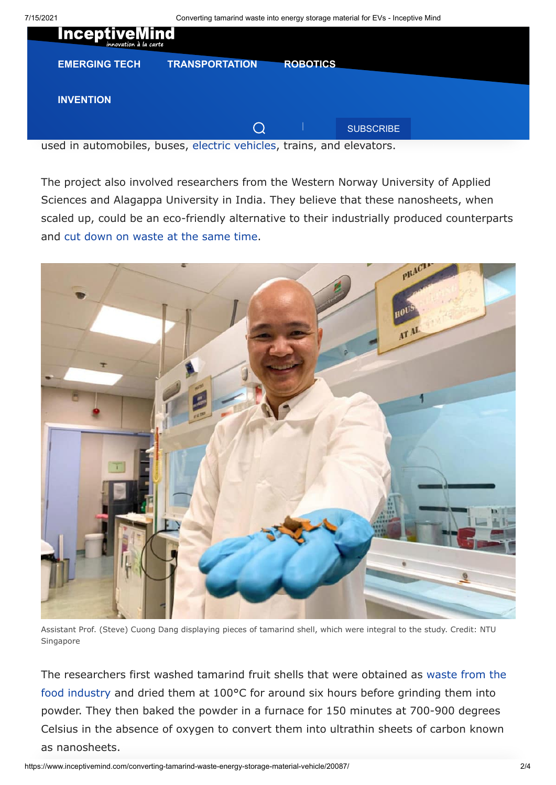

used in automobiles, buses, [electric vehicles](https://www.inceptivemind.com/tag/Electric-vehicle/), trains, and elevators.

The project also involved researchers from the Western Norway University of Applied Sciences and Alagappa University in India. They believe that these nanosheets, when scaled up, could be an eco-friendly alternative to their industrially produced counterparts and [cut down on waste at the same time.](https://www.inceptivemind.com/carvey-ehren-maigue-aureus-solar-panels-renewable-electricity/16348/)



Assistant Prof. (Steve) Cuong Dang displaying pieces of tamarind shell, which were integral to the study. Credit: NTU Singapore

[The researchers first washed tamarind fruit shells that were obtained as waste from the](https://www.inceptivemind.com/discarded-banana-waste-turned-biodegradable-recyclable-packaging/10524/) food industry and dried them at 100°C for around six hours before grinding them into powder. They then baked the powder in a furnace for 150 minutes at 700-900 degrees Celsius in the absence of oxygen to convert them into ultrathin sheets of carbon known as nanosheets.